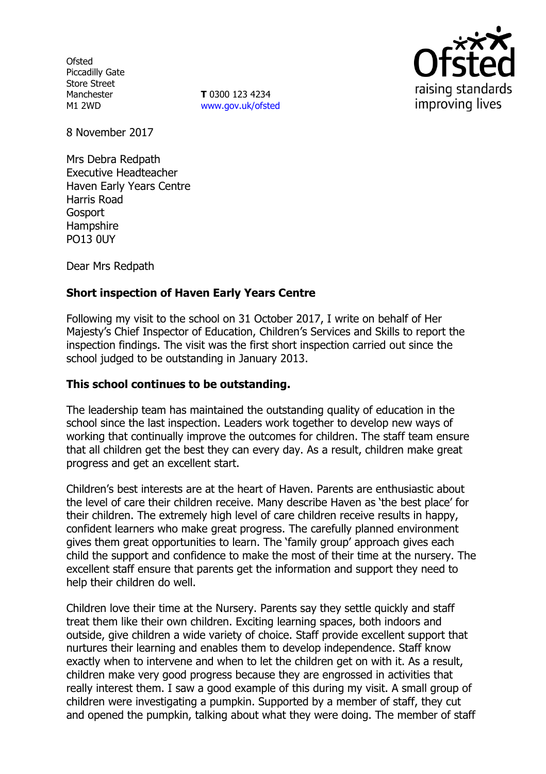**Ofsted** Piccadilly Gate Store Street Manchester M1 2WD

**T** 0300 123 4234 www.gov.uk/ofsted



8 November 2017

Mrs Debra Redpath Executive Headteacher Haven Early Years Centre Harris Road Gosport **Hampshire** PO13 0UY

Dear Mrs Redpath

# **Short inspection of Haven Early Years Centre**

Following my visit to the school on 31 October 2017, I write on behalf of Her Majesty"s Chief Inspector of Education, Children"s Services and Skills to report the inspection findings. The visit was the first short inspection carried out since the school judged to be outstanding in January 2013.

### **This school continues to be outstanding.**

The leadership team has maintained the outstanding quality of education in the school since the last inspection. Leaders work together to develop new ways of working that continually improve the outcomes for children. The staff team ensure that all children get the best they can every day. As a result, children make great progress and get an excellent start.

Children"s best interests are at the heart of Haven. Parents are enthusiastic about the level of care their children receive. Many describe Haven as "the best place" for their children. The extremely high level of care children receive results in happy, confident learners who make great progress. The carefully planned environment gives them great opportunities to learn. The "family group" approach gives each child the support and confidence to make the most of their time at the nursery. The excellent staff ensure that parents get the information and support they need to help their children do well.

Children love their time at the Nursery. Parents say they settle quickly and staff treat them like their own children. Exciting learning spaces, both indoors and outside, give children a wide variety of choice. Staff provide excellent support that nurtures their learning and enables them to develop independence. Staff know exactly when to intervene and when to let the children get on with it. As a result, children make very good progress because they are engrossed in activities that really interest them. I saw a good example of this during my visit. A small group of children were investigating a pumpkin. Supported by a member of staff, they cut and opened the pumpkin, talking about what they were doing. The member of staff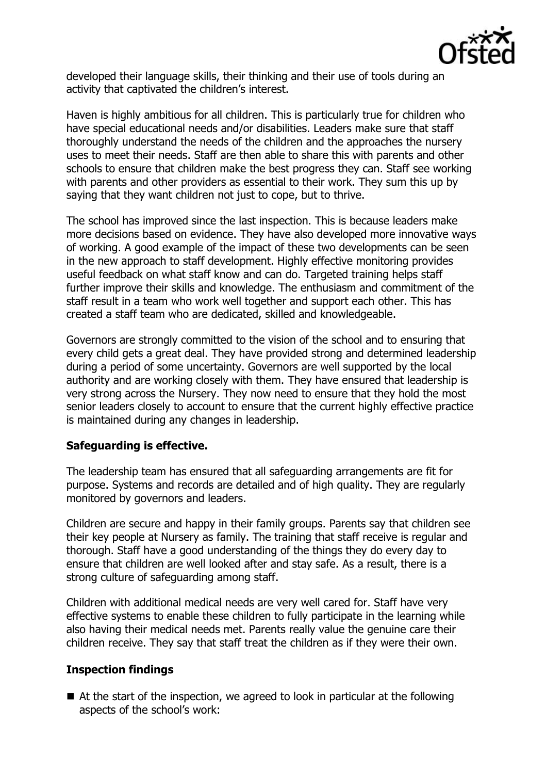

developed their language skills, their thinking and their use of tools during an activity that captivated the children's interest.

Haven is highly ambitious for all children. This is particularly true for children who have special educational needs and/or disabilities. Leaders make sure that staff thoroughly understand the needs of the children and the approaches the nursery uses to meet their needs. Staff are then able to share this with parents and other schools to ensure that children make the best progress they can. Staff see working with parents and other providers as essential to their work. They sum this up by saying that they want children not just to cope, but to thrive.

The school has improved since the last inspection. This is because leaders make more decisions based on evidence. They have also developed more innovative ways of working. A good example of the impact of these two developments can be seen in the new approach to staff development. Highly effective monitoring provides useful feedback on what staff know and can do. Targeted training helps staff further improve their skills and knowledge. The enthusiasm and commitment of the staff result in a team who work well together and support each other. This has created a staff team who are dedicated, skilled and knowledgeable.

Governors are strongly committed to the vision of the school and to ensuring that every child gets a great deal. They have provided strong and determined leadership during a period of some uncertainty. Governors are well supported by the local authority and are working closely with them. They have ensured that leadership is very strong across the Nursery. They now need to ensure that they hold the most senior leaders closely to account to ensure that the current highly effective practice is maintained during any changes in leadership.

## **Safeguarding is effective.**

The leadership team has ensured that all safeguarding arrangements are fit for purpose. Systems and records are detailed and of high quality. They are regularly monitored by governors and leaders.

Children are secure and happy in their family groups. Parents say that children see their key people at Nursery as family. The training that staff receive is regular and thorough. Staff have a good understanding of the things they do every day to ensure that children are well looked after and stay safe. As a result, there is a strong culture of safeguarding among staff.

Children with additional medical needs are very well cared for. Staff have very effective systems to enable these children to fully participate in the learning while also having their medical needs met. Parents really value the genuine care their children receive. They say that staff treat the children as if they were their own.

# **Inspection findings**

■ At the start of the inspection, we agreed to look in particular at the following aspects of the school's work: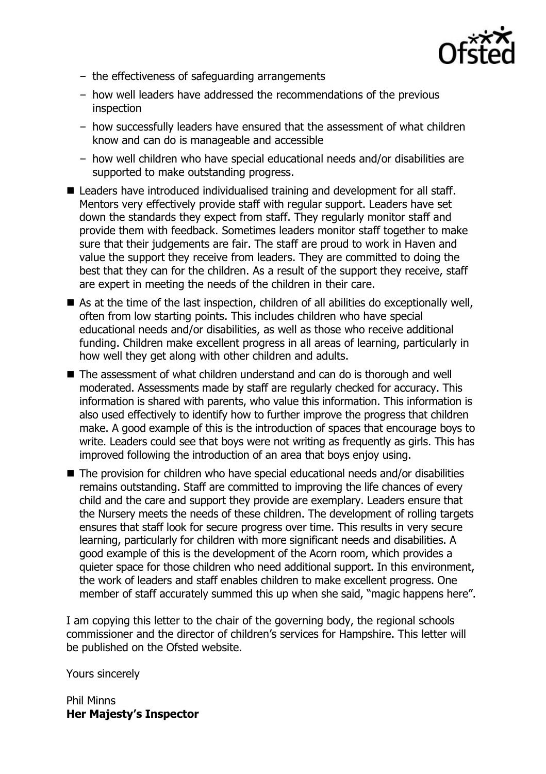

- the effectiveness of safeguarding arrangements
- how well leaders have addressed the recommendations of the previous inspection
- how successfully leaders have ensured that the assessment of what children know and can do is manageable and accessible
- how well children who have special educational needs and/or disabilities are supported to make outstanding progress.
- Leaders have introduced individualised training and development for all staff. Mentors very effectively provide staff with regular support. Leaders have set down the standards they expect from staff. They regularly monitor staff and provide them with feedback. Sometimes leaders monitor staff together to make sure that their judgements are fair. The staff are proud to work in Haven and value the support they receive from leaders. They are committed to doing the best that they can for the children. As a result of the support they receive, staff are expert in meeting the needs of the children in their care.
- As at the time of the last inspection, children of all abilities do exceptionally well, often from low starting points. This includes children who have special educational needs and/or disabilities, as well as those who receive additional funding. Children make excellent progress in all areas of learning, particularly in how well they get along with other children and adults.
- The assessment of what children understand and can do is thorough and well moderated. Assessments made by staff are regularly checked for accuracy. This information is shared with parents, who value this information. This information is also used effectively to identify how to further improve the progress that children make. A good example of this is the introduction of spaces that encourage boys to write. Leaders could see that boys were not writing as frequently as girls. This has improved following the introduction of an area that boys enjoy using.
- The provision for children who have special educational needs and/or disabilities remains outstanding. Staff are committed to improving the life chances of every child and the care and support they provide are exemplary. Leaders ensure that the Nursery meets the needs of these children. The development of rolling targets ensures that staff look for secure progress over time. This results in very secure learning, particularly for children with more significant needs and disabilities. A good example of this is the development of the Acorn room, which provides a quieter space for those children who need additional support. In this environment, the work of leaders and staff enables children to make excellent progress. One member of staff accurately summed this up when she said, "magic happens here".

I am copying this letter to the chair of the governing body, the regional schools commissioner and the director of children"s services for Hampshire. This letter will be published on the Ofsted website.

Yours sincerely

Phil Minns **Her Majesty's Inspector**